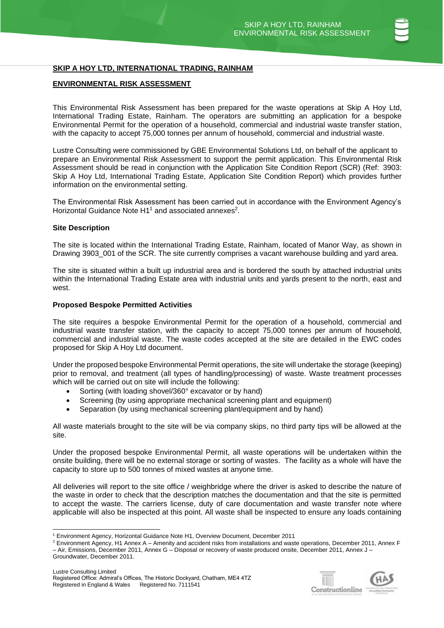# **SKIP A HOY LTD, INTERNATIONAL TRADING, RAINHAM**

# **ENVIRONMENTAL RISK ASSESSMENT**

This Environmental Risk Assessment has been prepared for the waste operations at Skip A Hoy Ltd, International Trading Estate, Rainham. The operators are submitting an application for a bespoke Environmental Permit for the operation of a household, commercial and industrial waste transfer station, with the capacity to accept 75,000 tonnes per annum of household, commercial and industrial waste.

Lustre Consulting were commissioned by GBE Environmental Solutions Ltd, on behalf of the applicant to prepare an Environmental Risk Assessment to support the permit application. This Environmental Risk Assessment should be read in conjunction with the Application Site Condition Report (SCR) (Ref: 3903: Skip A Hoy Ltd, International Trading Estate, Application Site Condition Report) which provides further information on the environmental setting.

The Environmental Risk Assessment has been carried out in accordance with the Environment Agency's Horizontal Guidance Note  $H1<sup>1</sup>$  and associated annexes<sup>2</sup>.

#### **Site Description**

The site is located within the International Trading Estate, Rainham, located of Manor Way, as shown in Drawing 3903 001 of the SCR. The site currently comprises a vacant warehouse building and yard area.

The site is situated within a built up industrial area and is bordered the south by attached industrial units within the International Trading Estate area with industrial units and yards present to the north, east and west.

#### **Proposed Bespoke Permitted Activities**

The site requires a bespoke Environmental Permit for the operation of a household, commercial and industrial waste transfer station, with the capacity to accept 75,000 tonnes per annum of household, commercial and industrial waste. The waste codes accepted at the site are detailed in the EWC codes proposed for Skip A Hoy Ltd document.

Under the proposed bespoke Environmental Permit operations, thesite will undertake the storage (keeping) prior to removal, and treatment (all types of handling/processing) of waste. Waste treatment processes which will be carried out on site will include the following:

- Sorting (with loading shovel/360° excavator or by hand)
- Screening (by using appropriate mechanical screening plant and equipment)
- Separation (by using mechanical screening plant/equipment and by hand)

All waste materials brought to the site will be via company skips, no third party tips will be allowed at the site.

Under the proposed bespoke Environmental Permit, all waste operations will be undertaken within the onsite building, there will be no external storage or sorting of wastes. The facility as a whole will have the capacity to store up to 500 tonnes of mixed wastes at anyone time.

All deliveries will report to the site office / weighbridge where the driver is asked to describe the nature of the waste in order to check that the description matches the documentation and that the site is permitted to accept the waste. The carriers license, duty of care documentation and waste transfer note where applicable will also be inspected at this point. All waste shall be inspected to ensure any loads containing



<sup>1</sup> Environment Agency, Horizontal Guidance Note H1, Overview Document, December 2011

<sup>&</sup>lt;sup>2</sup> Environment Agency, H1 Annex A – Amenity and accident risks from installations and waste operations, December 2011, Annex F – Air, Emissions, December 2011, Annex G – Disposal or recovery of waste produced onsite, December 2011, Annex J – Groundwater, December 2011.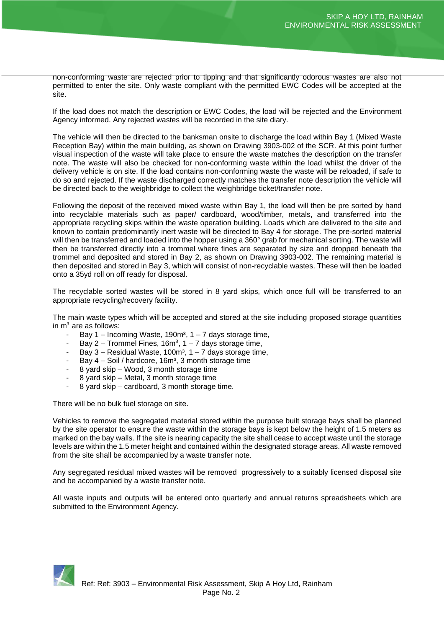non-conforming waste are rejected prior to tipping and that significantly odorous wastes are also not permitted to enter the site. Only waste compliant with the permitted EWC Codes will be accepted at the site.

If the load does not match the description or EWC Codes, the load will be rejected and the Environment Agency informed. Any rejected wastes will be recorded in the site diary.

The vehicle will then be directed to the banksman onsite to discharge the load within Bay 1 (Mixed Waste Reception Bay) within the main building, as shown on Drawing 3903-002 of the SCR. At this point further visual inspection of the waste will take place to ensure the waste matches the description on the transfer note. The waste will also be checked for non-conforming waste within the load whilst the driver of the delivery vehicle is on site. If the load contains non-conforming waste the waste will be reloaded, if safe to do so and rejected. If the waste discharged correctly matches the transfer note description the vehicle will be directed back to the weighbridge to collect the weighbridge ticket/transfer note.

Following the deposit of the received mixed waste within Bay 1, the load will then be pre sorted by hand into recyclable materials such as paper/ cardboard, wood/timber, metals, and transferred into the appropriate recycling skips within the waste operation building. Loads which are delivered to the site and known to contain predominantly inert waste will be directed to Bay 4 for storage. The pre-sorted material will then be transferred and loaded into the hopper using a 360° grab for mechanical sorting. The waste will then be transferred directly into a trommel where fines are separated by size and dropped beneath the trommel and deposited and stored in Bay 2, as shown on Drawing 3903-002. The remaining material is then deposited and stored in Bay 3, which will consist of non-recyclable wastes. These will then be loaded onto a 35yd roll on off ready for disposal.

The recyclable sorted wastes will be stored in 8 yard skips, which once full will be transferred to an appropriate recycling/recovery facility.

The main waste types which will be accepted and stored at the site including proposed storage quantities in  $m<sup>3</sup>$  are as follows:

- Bay 1 Incoming Waste, 190 $m<sup>3</sup>$ , 1 7 days storage time,
- Bay 2 Trommel Fines,  $16m^3$ , 1 7 days storage time,
- Bay 3 Residual Waste, 100 $m<sup>3</sup>$ , 1 7 days storage time,
- Bay  $4 -$  Soil / hardcore, 16m<sup>3</sup>, 3 month storage time
- 8 yard skip Wood, 3 month storage time
- 8 yard skip Metal, 3 month storage time
- 8 yard skip cardboard, 3 month storage time.

There will be no bulk fuel storage on site.

Vehicles to remove the segregated material stored within the purpose built storage bays shall be planned by the site operator to ensure the waste within the storage bays is kept below the height of 1.5 meters as marked on the bay walls. If the site is nearing capacity the site shall cease to accept waste until the storage levels are within the 1.5 meter height and contained within the designated storage areas. All waste removed from the site shall be accompanied by a waste transfer note.

Any segregated residual mixed wastes will be removed progressively to a suitably licensed disposal site and be accompanied by a waste transfer note.

All waste inputs and outputs will be entered onto quarterly and annual returns spreadsheets which are submitted to the Environment Agency.

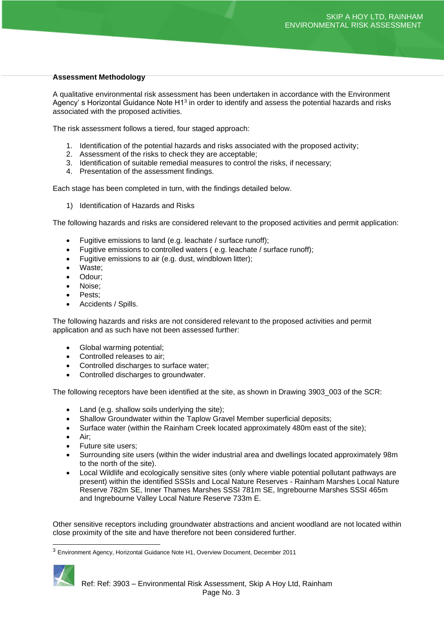# **Assessment Methodology**

A qualitative environmental risk assessment has been undertaken in accordance with the Environment Agency' s Horizontal Guidance Note H1<sup>3</sup> in order to identify and assess the potential hazards and risks associated with the proposed activities.

The risk assessment follows a tiered, four staged approach:

- 1. Identification of the potential hazards and risks associated with the proposed activity;
- 2. Assessment of the risks to check they are acceptable;
- 3. Identification of suitable remedial measures to control the risks, if necessary;
- 4. Presentation of the assessment findings.

Each stage has been completed in turn, with the findings detailed below.

1) Identification of Hazards and Risks

The following hazards and risks are considered relevant to the proposed activities and permit application:

- Fugitive emissions to land (e.g. leachate / surface runoff);
- Fugitive emissions to controlled waters ( e.g. leachate / surface runoff);
- Fugitive emissions to air (e.g. dust, windblown litter);
- Waste;
- Odour;
- Noise;
- Pests;
- Accidents / Spills.

The following hazards and risks are not considered relevant to the proposed activities and permit application and as such have not been assessed further:

- Global warming potential;
- Controlled releases to air;
- Controlled discharges to surface water;
- Controlled discharges to groundwater.

The following receptors have been identified at the site, as shown in Drawing 3903\_003 of the SCR:

- Land (e.g. shallow soils underlying the site);
- Shallow Groundwater within the Taplow Gravel Member superficial deposits;
- Surface water (within the Rainham Creek located approximately 480m east of the site);
- Air;
- Future site users;
- Surrounding site users (within the wider industrial area and dwellings located approximately 98m to the north of the site).
- Local Wildlife and ecologically sensitive sites (only where viable potential pollutant pathways are present) within the identified SSSIs and Local Nature Reserves - Rainham Marshes Local Nature Reserve 782m SE, Inner Thames Marshes SSSI 781m SE, Ingrebourne Marshes SSSI 465m and Ingrebourne Valley Local Nature Reserve 733m E.

Other sensitive receptors including groundwater abstractions and ancient woodland are not located within close proximity of the site and have therefore not been considered further.

<sup>3</sup> Environment Agency, Horizontal Guidance Note H1, Overview Document, December 2011

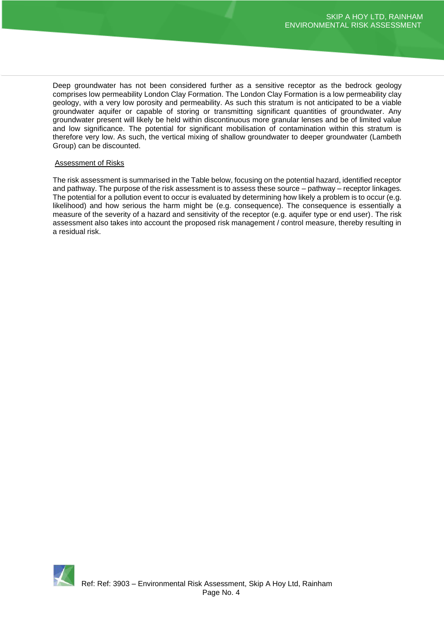Deep groundwater has not been considered further as a sensitive receptor as the bedrock geology comprises low permeability London Clay Formation. The London Clay Formation is a low permeability clay geology, with a very low porosity and permeability. As such this stratum is not anticipated to be a viable groundwater aquifer or capable of storing or transmitting significant quantities of groundwater. Any groundwater present will likely be held within discontinuous more granular lenses and be of limited value and low significance. The potential for significant mobilisation of contamination within this stratum is therefore very low. As such, the vertical mixing of shallow groundwater to deeper groundwater (Lambeth Group) can be discounted.

#### Assessment of Risks

The risk assessment is summarised in the Table below, focusing on the potential hazard, identified receptor and pathway. The purpose of the risk assessment is to assess these source – pathway – receptor linkages. The potential for a pollution event to occur is evaluated by determining how likely a problem is to occur (e.g. likelihood) and how serious the harm might be (e.g. consequence). The consequence is essentially a measure of the severity of a hazard and sensitivity of the receptor (e.g. aquifer type or end user). The risk assessment also takes into account the proposed risk management / control measure, thereby resulting in a residual risk.

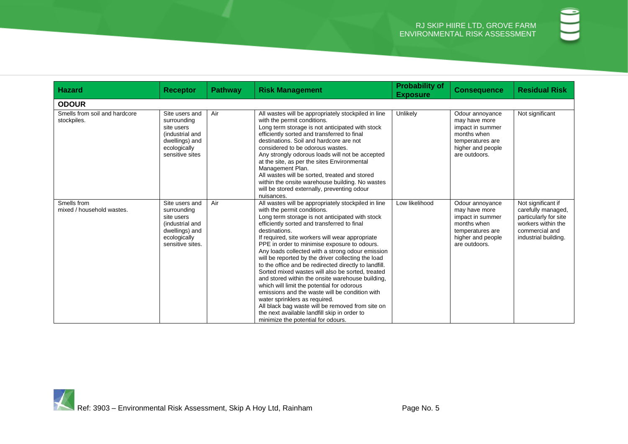| <b>Hazard</b>                                | <b>Receptor</b>                                                                                                      | <b>Pathway</b> | <b>Risk Management</b>                                                                                                                                                                                                                                                                                                                                                                                                                                                                                                                                                                                                                                                                                                                                                                                                                                         | <b>Probability of</b><br><b>Exposure</b> | <b>Consequence</b>                                                                                                            | <b>Residual Risk</b>                                                                                                              |  |  |  |
|----------------------------------------------|----------------------------------------------------------------------------------------------------------------------|----------------|----------------------------------------------------------------------------------------------------------------------------------------------------------------------------------------------------------------------------------------------------------------------------------------------------------------------------------------------------------------------------------------------------------------------------------------------------------------------------------------------------------------------------------------------------------------------------------------------------------------------------------------------------------------------------------------------------------------------------------------------------------------------------------------------------------------------------------------------------------------|------------------------------------------|-------------------------------------------------------------------------------------------------------------------------------|-----------------------------------------------------------------------------------------------------------------------------------|--|--|--|
| <b>ODOUR</b>                                 |                                                                                                                      |                |                                                                                                                                                                                                                                                                                                                                                                                                                                                                                                                                                                                                                                                                                                                                                                                                                                                                |                                          |                                                                                                                               |                                                                                                                                   |  |  |  |
| Smells from soil and hardcore<br>stockpiles. | Site users and<br>surrounding<br>site users<br>(industrial and<br>dwellings) and<br>ecologically<br>sensitive sites  | Air            | All wastes will be appropriately stockpiled in line<br>with the permit conditions.<br>Long term storage is not anticipated with stock<br>efficiently sorted and transferred to final<br>destinations. Soil and hardcore are not<br>considered to be odorous wastes.<br>Any strongly odorous loads will not be accepted<br>at the site, as per the sites Environmental<br>Management Plan.<br>All wastes will be sorted, treated and stored<br>within the onsite warehouse building. No wastes<br>will be stored externally, preventing odour<br>nuisances.                                                                                                                                                                                                                                                                                                     | Unlikely                                 | Odour annoyance<br>may have more<br>impact in summer<br>months when<br>temperatures are<br>higher and people<br>are outdoors. | Not significant                                                                                                                   |  |  |  |
| Smells from<br>mixed / household wastes.     | Site users and<br>surrounding<br>site users<br>(industrial and<br>dwellings) and<br>ecologically<br>sensitive sites. | Air            | All wastes will be appropriately stockpiled in line<br>with the permit conditions.<br>Long term storage is not anticipated with stock<br>efficiently sorted and transferred to final<br>destinations.<br>If required, site workers will wear appropriate<br>PPE in order to minimise exposure to odours.<br>Any loads collected with a strong odour emission<br>will be reported by the driver collecting the load<br>to the office and be redirected directly to landfill.<br>Sorted mixed wastes will also be sorted, treated<br>and stored within the onsite warehouse building.<br>which will limit the potential for odorous<br>emissions and the waste will be condition with<br>water sprinklers as required.<br>All black bag waste will be removed from site on<br>the next available landfill skip in order to<br>minimize the potential for odours. | Low likelihood                           | Odour annoyance<br>may have more<br>impact in summer<br>months when<br>temperatures are<br>higher and people<br>are outdoors. | Not significant if<br>carefully managed,<br>particularly for site<br>workers within the<br>commercial and<br>industrial building. |  |  |  |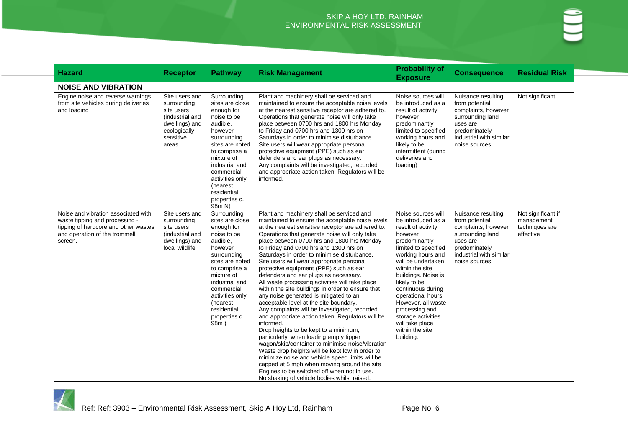| <b>Hazard</b>                                                                                                                                             | <b>Receptor</b>                                                                                                        | <b>Pathway</b>                                                                                                                                                                                                                                               | <b>Risk Management</b>                                                                                                                                                                                                                                                                                                                                                                                                                                                                                                                                                                                                                                                                                                                                                                                                                                                                                                                                                                                                                                                                                                                                                             | <b>Probability of</b><br><b>Exposure</b>                                                                                                                                                                                                                                                                                                                                             | <b>Consequence</b>                                                                                                                                        | <b>Residual Risk</b>                                            |
|-----------------------------------------------------------------------------------------------------------------------------------------------------------|------------------------------------------------------------------------------------------------------------------------|--------------------------------------------------------------------------------------------------------------------------------------------------------------------------------------------------------------------------------------------------------------|------------------------------------------------------------------------------------------------------------------------------------------------------------------------------------------------------------------------------------------------------------------------------------------------------------------------------------------------------------------------------------------------------------------------------------------------------------------------------------------------------------------------------------------------------------------------------------------------------------------------------------------------------------------------------------------------------------------------------------------------------------------------------------------------------------------------------------------------------------------------------------------------------------------------------------------------------------------------------------------------------------------------------------------------------------------------------------------------------------------------------------------------------------------------------------|--------------------------------------------------------------------------------------------------------------------------------------------------------------------------------------------------------------------------------------------------------------------------------------------------------------------------------------------------------------------------------------|-----------------------------------------------------------------------------------------------------------------------------------------------------------|-----------------------------------------------------------------|
| <b>NOISE AND VIBRATION</b>                                                                                                                                |                                                                                                                        |                                                                                                                                                                                                                                                              |                                                                                                                                                                                                                                                                                                                                                                                                                                                                                                                                                                                                                                                                                                                                                                                                                                                                                                                                                                                                                                                                                                                                                                                    |                                                                                                                                                                                                                                                                                                                                                                                      |                                                                                                                                                           |                                                                 |
| Engine noise and reverse warnings<br>from site vehicles during deliveries<br>and loading                                                                  | Site users and<br>surrounding<br>site users<br>(industrial and<br>dwellings) and<br>ecologically<br>sensitive<br>areas | Surrounding<br>sites are close<br>enough for<br>noise to be<br>audible,<br>however<br>surrounding<br>sites are noted<br>to comprise a<br>mixture of<br>industrial and<br>commercial<br>activities only<br>(nearest<br>residential<br>properties c.<br>98m N) | Plant and machinery shall be serviced and<br>maintained to ensure the acceptable noise levels<br>at the nearest sensitive receptor are adhered to.<br>Operations that generate noise will only take<br>place between 0700 hrs and 1800 hrs Monday<br>to Friday and 0700 hrs and 1300 hrs on<br>Saturdays in order to minimise disturbance.<br>Site users will wear appropriate personal<br>protective equipment (PPE) such as ear<br>defenders and ear plugs as necessary.<br>Any complaints will be investigated, recorded<br>and appropriate action taken. Regulators will be<br>informed.                                                                                                                                                                                                                                                                                                                                                                                                                                                                                                                                                                                       | Noise sources will<br>be introduced as a<br>result of activity,<br>however<br>predominantly<br>limited to specified<br>working hours and<br>likely to be<br>intermittent (during<br>deliveries and<br>loading)                                                                                                                                                                       | Nuisance resulting<br>from potential<br>complaints, however<br>surrounding land<br>uses are<br>predominately<br>industrial with similar<br>noise sources  | Not significant                                                 |
| Noise and vibration associated with<br>waste tipping and processing -<br>tipping of hardcore and other wastes<br>and operation of the trommell<br>screen. | Site users and<br>surrounding<br>site users<br>(industrial and<br>dwellings) and<br>local wildlife                     | Surrounding<br>sites are close<br>enough for<br>noise to be<br>audible,<br>however<br>surrounding<br>sites are noted<br>to comprise a<br>mixture of<br>industrial and<br>commercial<br>activities only<br>(nearest<br>residential<br>properties c.<br>98m)   | Plant and machinery shall be serviced and<br>maintained to ensure the acceptable noise levels<br>at the nearest sensitive receptor are adhered to.<br>Operations that generate noise will only take<br>place between 0700 hrs and 1800 hrs Monday<br>to Friday and 0700 hrs and 1300 hrs on<br>Saturdays in order to minimise disturbance.<br>Site users will wear appropriate personal<br>protective equipment (PPE) such as ear<br>defenders and ear plugs as necessary.<br>All waste processing activities will take place<br>within the site buildings in order to ensure that<br>any noise generated is mitigated to an<br>acceptable level at the site boundary.<br>Any complaints will be investigated, recorded<br>and appropriate action taken. Regulators will be<br>informed.<br>Drop heights to be kept to a minimum,<br>particularly when loading empty tipper<br>wagon/skip/container to minimise noise/vibration<br>Waste drop heights will be kept low in order to<br>minimize noise and vehicle speed limits will be<br>capped at 5 mph when moving around the site<br>Engines to be switched off when not in use.<br>No shaking of vehicle bodies whilst raised. | Noise sources will<br>be introduced as a<br>result of activity,<br>however<br>predominantly<br>limited to specified<br>working hours and<br>will be undertaken<br>within the site<br>buildings. Noise is<br>likely to be<br>continuous during<br>operational hours.<br>However, all waste<br>processing and<br>storage activities<br>will take place<br>within the site<br>building. | Nuisance resulting<br>from potential<br>complaints, however<br>surrounding land<br>uses are<br>predominately<br>industrial with similar<br>noise sources. | Not significant if<br>management<br>techniques are<br>effective |

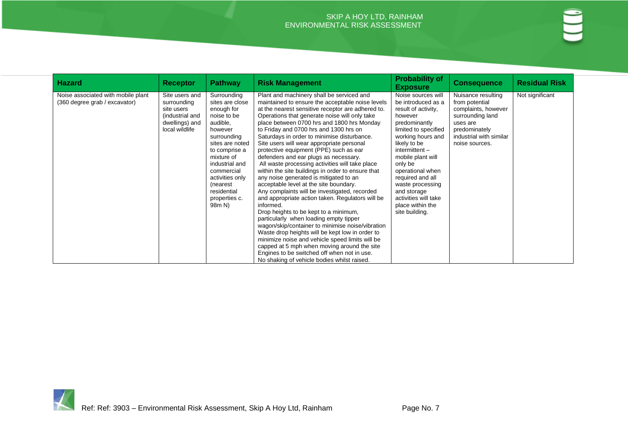| <b>Hazard</b>                                                       | <b>Receptor</b>                                                                                    | <b>Pathway</b>                                                                                                                                                                                                                                                | <b>Risk Management</b>                                                                                                                                                                                                                                                                                                                                                                                                                                                                                                                                                                                                                                                                                                                                                                                                                                                                                                                                                                                                                                                                                                                                                             | <b>Probability of</b><br><b>Exposure</b>                                                                                                                                                                                                                                                                                                              | <b>Consequence</b>                                                                                                                                        | <b>Residual Risk</b> |
|---------------------------------------------------------------------|----------------------------------------------------------------------------------------------------|---------------------------------------------------------------------------------------------------------------------------------------------------------------------------------------------------------------------------------------------------------------|------------------------------------------------------------------------------------------------------------------------------------------------------------------------------------------------------------------------------------------------------------------------------------------------------------------------------------------------------------------------------------------------------------------------------------------------------------------------------------------------------------------------------------------------------------------------------------------------------------------------------------------------------------------------------------------------------------------------------------------------------------------------------------------------------------------------------------------------------------------------------------------------------------------------------------------------------------------------------------------------------------------------------------------------------------------------------------------------------------------------------------------------------------------------------------|-------------------------------------------------------------------------------------------------------------------------------------------------------------------------------------------------------------------------------------------------------------------------------------------------------------------------------------------------------|-----------------------------------------------------------------------------------------------------------------------------------------------------------|----------------------|
| Noise associated with mobile plant<br>(360 degree grab / excavator) | Site users and<br>surrounding<br>site users<br>(industrial and<br>dwellings) and<br>local wildlife | Surrounding<br>sites are close<br>enough for<br>noise to be<br>audible,<br>however<br>surrounding<br>sites are noted<br>to comprise a<br>mixture of<br>industrial and<br>commercial<br>activities only<br>(nearest)<br>residential<br>properties c.<br>98m N) | Plant and machinery shall be serviced and<br>maintained to ensure the acceptable noise levels<br>at the nearest sensitive receptor are adhered to.<br>Operations that generate noise will only take<br>place between 0700 hrs and 1800 hrs Monday<br>to Friday and 0700 hrs and 1300 hrs on<br>Saturdays in order to minimise disturbance.<br>Site users will wear appropriate personal<br>protective equipment (PPE) such as ear<br>defenders and ear plugs as necessary.<br>All waste processing activities will take place<br>within the site buildings in order to ensure that<br>any noise generated is mitigated to an<br>acceptable level at the site boundary.<br>Any complaints will be investigated, recorded<br>and appropriate action taken. Regulators will be<br>informed.<br>Drop heights to be kept to a minimum,<br>particularly when loading empty tipper<br>wagon/skip/container to minimise noise/vibration<br>Waste drop heights will be kept low in order to<br>minimize noise and vehicle speed limits will be<br>capped at 5 mph when moving around the site<br>Engines to be switched off when not in use.<br>No shaking of vehicle bodies whilst raised. | Noise sources will<br>be introduced as a<br>result of activity,<br>however<br>predominantly<br>limited to specified<br>working hours and<br>likely to be<br>$intermittent -$<br>mobile plant will<br>only be<br>operational when<br>required and all<br>waste processing<br>and storage<br>activities will take<br>place within the<br>site building. | Nuisance resulting<br>from potential<br>complaints, however<br>surrounding land<br>uses are<br>predominately<br>industrial with similar<br>noise sources. | Not significant      |

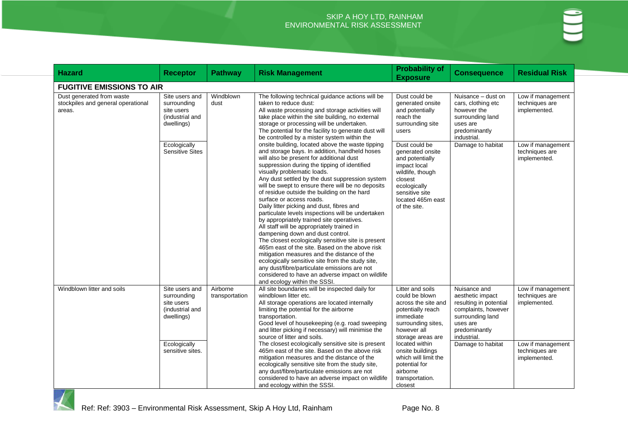| <b>Hazard</b>                                                             | <b>Receptor</b>                                                                              | <b>Pathway</b>             | <b>Risk Management</b>                                                                                                                                                                                                                                                                                                                                                                                                                                                                                                                                                                                                                                                                                                                                                                                                                                                                                                                                                                                                                                                                                                                                                                                                                                                                                                                   | <b>Probability of</b><br><b>Exposure</b>                                                                                                                                   | <b>Consequence</b>                                                                                                                                                     | <b>Residual Risk</b>                                                     |
|---------------------------------------------------------------------------|----------------------------------------------------------------------------------------------|----------------------------|------------------------------------------------------------------------------------------------------------------------------------------------------------------------------------------------------------------------------------------------------------------------------------------------------------------------------------------------------------------------------------------------------------------------------------------------------------------------------------------------------------------------------------------------------------------------------------------------------------------------------------------------------------------------------------------------------------------------------------------------------------------------------------------------------------------------------------------------------------------------------------------------------------------------------------------------------------------------------------------------------------------------------------------------------------------------------------------------------------------------------------------------------------------------------------------------------------------------------------------------------------------------------------------------------------------------------------------|----------------------------------------------------------------------------------------------------------------------------------------------------------------------------|------------------------------------------------------------------------------------------------------------------------------------------------------------------------|--------------------------------------------------------------------------|
| <b>FUGITIVE EMISSIONS TO AIR</b>                                          |                                                                                              |                            |                                                                                                                                                                                                                                                                                                                                                                                                                                                                                                                                                                                                                                                                                                                                                                                                                                                                                                                                                                                                                                                                                                                                                                                                                                                                                                                                          |                                                                                                                                                                            |                                                                                                                                                                        |                                                                          |
| Dust generated from waste<br>stockpiles and general operational<br>areas. | Site users and<br>surrounding<br>site users<br>(industrial and<br>dwellings)                 | Windblown<br>dust          | The following technical guidance actions will be<br>taken to reduce dust:<br>All waste processing and storage activities will<br>take place within the site building, no external<br>storage or processing will be undertaken.<br>The potential for the facility to generate dust will<br>be controlled by a mister system within the<br>onsite building, located above the waste tipping<br>and storage bays. In addition, handheld hoses<br>will also be present for additional dust<br>suppression during the tipping of identified<br>visually problematic loads.<br>Any dust settled by the dust suppression system<br>will be swept to ensure there will be no deposits<br>of residue outside the building on the hard<br>surface or access roads.<br>Daily litter picking and dust, fibres and<br>particulate levels inspections will be undertaken<br>by appropriately trained site operatives.<br>All staff will be appropriately trained in<br>dampening down and dust control.<br>The closest ecologically sensitive site is present<br>465m east of the site. Based on the above risk<br>mitigation measures and the distance of the<br>ecologically sensitive site from the study site,<br>any dust/fibre/particulate emissions are not<br>considered to have an adverse impact on wildlife<br>and ecology within the SSSI. | Dust could be<br>generated onsite<br>and potentially<br>reach the<br>surrounding site<br>users                                                                             | Nuisance - dust on<br>cars, clothing etc<br>however the<br>surrounding land<br>uses are<br>predominantly<br>industrial.                                                | Low if management<br>techniques are<br>implemented.                      |
|                                                                           | Ecologically<br><b>Sensitive Sites</b>                                                       |                            |                                                                                                                                                                                                                                                                                                                                                                                                                                                                                                                                                                                                                                                                                                                                                                                                                                                                                                                                                                                                                                                                                                                                                                                                                                                                                                                                          | Dust could be<br>generated onsite<br>and potentially<br>impact local<br>wildlife, though<br>closest<br>ecologically<br>sensitive site<br>located 465m east<br>of the site. | Damage to habitat                                                                                                                                                      | Low if management<br>techniques are<br>implemented.                      |
| Windblown litter and soils                                                | Site users and<br>surrounding<br>site users<br>(industrial and<br>dwellings)<br>Ecologically | Airborne<br>transportation | All site boundaries will be inspected daily for<br>windblown litter etc.<br>All storage operations are located internally<br>limiting the potential for the airborne<br>transportation.<br>Good level of housekeeping (e.g. road sweeping<br>and litter picking if necessary) will minimise the<br>source of litter and soils.<br>The closest ecologically sensitive site is present<br>465m east of the site. Based on the above risk<br>mitigation measures and the distance of the<br>ecologically sensitive site from the study site,<br>any dust/fibre/particulate emissions are not<br>considered to have an adverse impact on wildlife<br>and ecology within the SSSI.                                                                                                                                                                                                                                                                                                                                                                                                                                                                                                                                                                                                                                                            | Litter and soils<br>could be blown<br>across the site and<br>potentially reach<br>immediate<br>surrounding sites,<br>however all<br>storage areas are<br>located within    | Nuisance and<br>aesthetic impact<br>resulting in potential<br>complaints, however<br>surrounding land<br>uses are<br>predominantly<br>industrial.<br>Damage to habitat | Low if management<br>techniques are<br>implemented.<br>Low if management |
|                                                                           | sensitive sites.                                                                             |                            |                                                                                                                                                                                                                                                                                                                                                                                                                                                                                                                                                                                                                                                                                                                                                                                                                                                                                                                                                                                                                                                                                                                                                                                                                                                                                                                                          | onsite buildings<br>which will limit the<br>potential for<br>airborne<br>transportation.<br>closest                                                                        |                                                                                                                                                                        | techniques are<br>implemented.                                           |

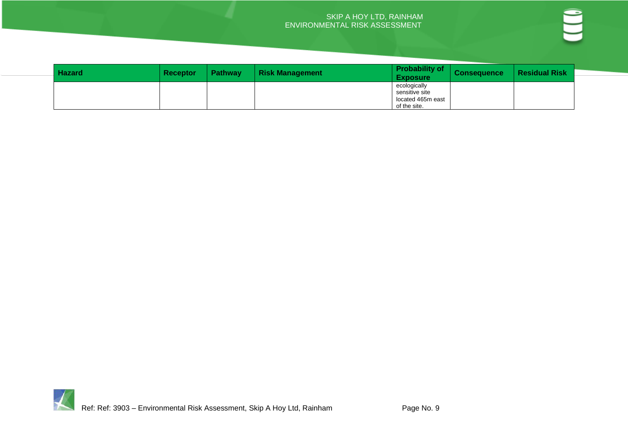| <b>Hazard</b> | <b>Receptor</b> | <b>Pathway</b> | <b>Risk Management</b> | <b>Probability of</b><br><b>Exposure</b> | <b>Consequence</b> | <b>Residual Risk</b> |
|---------------|-----------------|----------------|------------------------|------------------------------------------|--------------------|----------------------|
|               |                 |                |                        | ecologically                             |                    |                      |
|               |                 |                |                        | sensitive site                           |                    |                      |
|               |                 |                |                        | located 465m east                        |                    |                      |
|               |                 |                |                        | of the site.                             |                    |                      |

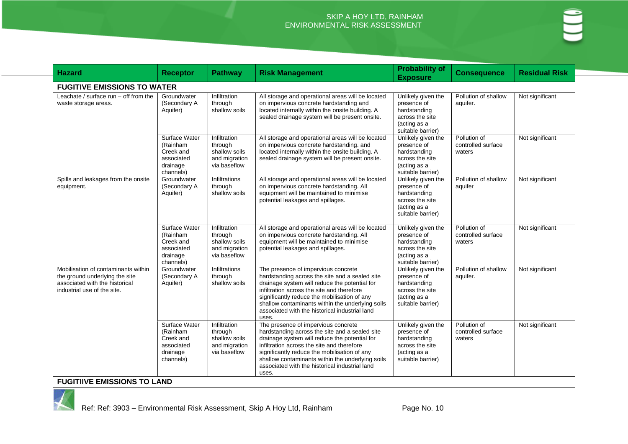| <b>Hazard</b>                                                                                                                          | <b>Receptor</b>                                                               | <b>Pathway</b>                                                            | <b>Risk Management</b>                                                                                                                                                                                                                                                                                                                              | <b>Probability of</b><br><b>Exposure</b>                                                                  | <b>Consequence</b>                           | <b>Residual Risk</b> |
|----------------------------------------------------------------------------------------------------------------------------------------|-------------------------------------------------------------------------------|---------------------------------------------------------------------------|-----------------------------------------------------------------------------------------------------------------------------------------------------------------------------------------------------------------------------------------------------------------------------------------------------------------------------------------------------|-----------------------------------------------------------------------------------------------------------|----------------------------------------------|----------------------|
| <b>FUGITIVE EMISSIONS TO WATER</b>                                                                                                     |                                                                               |                                                                           |                                                                                                                                                                                                                                                                                                                                                     |                                                                                                           |                                              |                      |
| Leachate / surface run - off from the<br>waste storage areas.                                                                          | Groundwater<br>(Secondary A<br>Aquifer)                                       | Infiltration<br>through<br>shallow soils                                  | All storage and operational areas will be located<br>on impervious concrete hardstanding and<br>located internally within the onsite building. A<br>sealed drainage system will be present onsite.                                                                                                                                                  | Unlikely given the<br>presence of<br>hardstanding<br>across the site<br>(acting as a<br>suitable barrier) | Pollution of shallow<br>aquifer.             | Not significant      |
|                                                                                                                                        | Surface Water<br>(Rainham<br>Creek and<br>associated<br>drainage<br>channels) | Infiltration<br>through<br>shallow soils<br>and migration<br>via baseflow | All storage and operational areas will be located<br>on impervious concrete hardstanding. and<br>located internally within the onsite building. A<br>sealed drainage system will be present onsite.                                                                                                                                                 | Unlikely given the<br>presence of<br>hardstanding<br>across the site<br>(acting as a<br>suitable barrier) | Pollution of<br>controlled surface<br>waters | Not significant      |
| Spills and leakages from the onsite<br>equipment.                                                                                      | Groundwater<br>(Secondary A<br>Aquifer)                                       | Infiltrations<br>through<br>shallow soils                                 | All storage and operational areas will be located<br>on impervious concrete hardstanding. All<br>equipment will be maintained to minimise<br>potential leakages and spillages.                                                                                                                                                                      | Unlikely given the<br>presence of<br>hardstanding<br>across the site<br>(acting as a<br>suitable barrier) | Pollution of shallow<br>aquifer              | Not significant      |
|                                                                                                                                        | Surface Water<br>(Rainham<br>Creek and<br>associated<br>drainage<br>channels) | Infiltration<br>through<br>shallow soils<br>and migration<br>via baseflow | All storage and operational areas will be located<br>on impervious concrete hardstanding. All<br>equipment will be maintained to minimise<br>potential leakages and spillages.                                                                                                                                                                      | Unlikely given the<br>presence of<br>hardstanding<br>across the site<br>(acting as a<br>suitable barrier) | Pollution of<br>controlled surface<br>waters | Not significant      |
| Mobilisation of contaminants within<br>the ground underlying the site<br>associated with the historical<br>industrial use of the site. | Groundwater<br>(Secondary A<br>Aquifer)                                       | Infiltrations<br>through<br>shallow soils                                 | The presence of impervious concrete<br>hardstanding across the site and a sealed site<br>drainage system will reduce the potential for<br>infiltration across the site and therefore<br>significantly reduce the mobilisation of any<br>shallow contaminants within the underlying soils<br>associated with the historical industrial land<br>uses. | Unlikely given the<br>presence of<br>hardstanding<br>across the site<br>(acting as a<br>suitable barrier) | Pollution of shallow<br>aquifer.             | Not significant      |
|                                                                                                                                        | Surface Water<br>(Rainham<br>Creek and<br>associated<br>drainage<br>channels) | Infiltration<br>through<br>shallow soils<br>and migration<br>via baseflow | The presence of impervious concrete<br>hardstanding across the site and a sealed site<br>drainage system will reduce the potential for<br>infiltration across the site and therefore<br>significantly reduce the mobilisation of any<br>shallow contaminants within the underlying soils<br>associated with the historical industrial land<br>uses. | Unlikely given the<br>presence of<br>hardstanding<br>across the site<br>(acting as a<br>suitable barrier) | Pollution of<br>controlled surface<br>waters | Not significant      |
| <b>FUGITIIVE EMISSIONS TO LAND</b>                                                                                                     |                                                                               |                                                                           |                                                                                                                                                                                                                                                                                                                                                     |                                                                                                           |                                              |                      |

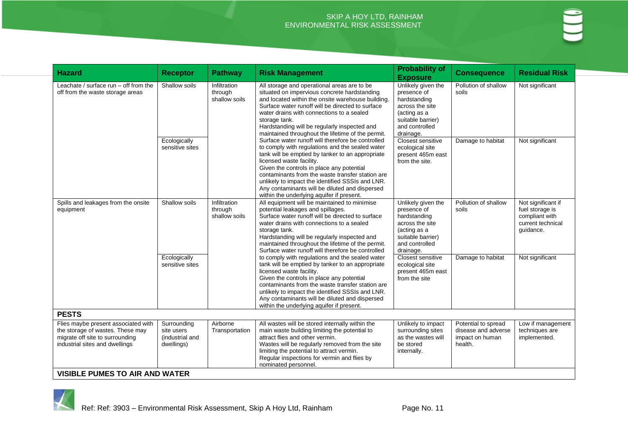| <b>Hazard</b>                                                                                                                                | <b>Receptor</b>                                            | <b>Pathway</b>                           | <b>Risk Management</b>                                                                                                                                                                                                                                                                                                                                                                                                                                                                                                                                                                                                                                                                                                                                                                                              | <b>Probability of</b><br><b>Exposure</b>                                                                                                 | <b>Consequence</b>                                                       | <b>Residual Risk</b>                                                                      |
|----------------------------------------------------------------------------------------------------------------------------------------------|------------------------------------------------------------|------------------------------------------|---------------------------------------------------------------------------------------------------------------------------------------------------------------------------------------------------------------------------------------------------------------------------------------------------------------------------------------------------------------------------------------------------------------------------------------------------------------------------------------------------------------------------------------------------------------------------------------------------------------------------------------------------------------------------------------------------------------------------------------------------------------------------------------------------------------------|------------------------------------------------------------------------------------------------------------------------------------------|--------------------------------------------------------------------------|-------------------------------------------------------------------------------------------|
| Leachate / surface $run - off from the$<br>off from the waste storage areas<br>Ecologically                                                  | Shallow soils                                              | Infiltration<br>through<br>shallow soils | All storage and operational areas are to be<br>situated on impervious concrete hardstanding<br>and located within the onsite warehouse building.<br>Surface water runoff will be directed to surface<br>water drains with connections to a sealed<br>storage tank.<br>Hardstanding will be regularly inspected and<br>maintained throughout the lifetime of the permit.<br>Surface water runoff will therefore be controlled<br>to comply with regulations and the sealed water<br>tank will be emptied by tanker to an appropriate<br>licensed waste facility.<br>Given the controls in place any potential<br>contaminants from the waste transfer station are<br>unlikely to impact the identified SSSIs and LNR.<br>Any contaminants will be diluted and dispersed<br>within the underlying aquifer if present. | Unlikely given the<br>presence of<br>hardstanding<br>across the site<br>(acting as a<br>suitable barrier)<br>and controlled<br>drainage. | Pollution of shallow<br>soils                                            | Not significant                                                                           |
|                                                                                                                                              | sensitive sites                                            |                                          |                                                                                                                                                                                                                                                                                                                                                                                                                                                                                                                                                                                                                                                                                                                                                                                                                     | Closest sensitive<br>ecological site<br>present 465m east<br>from the site.                                                              | Damage to habitat                                                        | Not significant                                                                           |
| Spills and leakages from the onsite<br>equipment                                                                                             | Shallow soils                                              | Infiltration<br>through<br>shallow soils | All equipment will be maintained to minimise<br>potential leakages and spillages.<br>Surface water runoff will be directed to surface<br>water drains with connections to a sealed<br>storage tank.<br>Hardstanding will be regularly inspected and<br>maintained throughout the lifetime of the permit.<br>Surface water runoff will therefore be controlled                                                                                                                                                                                                                                                                                                                                                                                                                                                       | Unlikely given the<br>presence of<br>hardstanding<br>across the site<br>(acting as a<br>suitable barrier)<br>and controlled<br>drainage. | Pollution of shallow<br>soils                                            | Not significant if<br>fuel storage is<br>compliant with<br>current technical<br>guidance. |
|                                                                                                                                              | Ecologically<br>sensitive sites                            |                                          | to comply with regulations and the sealed water<br>tank will be emptied by tanker to an appropriate<br>licensed waste facility.<br>Given the controls in place any potential<br>contaminants from the waste transfer station are<br>unlikely to impact the identified SSSIs and LNR.<br>Any contaminants will be diluted and dispersed<br>within the underlying aquifer if present.                                                                                                                                                                                                                                                                                                                                                                                                                                 | Closest sensitive<br>ecological site<br>present 465m east<br>from the site                                                               | Damage to habitat                                                        | Not significant                                                                           |
| <b>PESTS</b>                                                                                                                                 |                                                            |                                          |                                                                                                                                                                                                                                                                                                                                                                                                                                                                                                                                                                                                                                                                                                                                                                                                                     |                                                                                                                                          |                                                                          |                                                                                           |
| Flies maybe present associated with<br>the storage of wastes. These may<br>migrate off site to surrounding<br>industrial sites and dwellings | Surrounding<br>site users<br>(industrial and<br>dwellings) | Airborne<br>Transportation               | All wastes will be stored internally within the<br>main waste building limiting the potential to<br>attract flies and other vermin.<br>Wastes will be regularly removed from the site<br>limiting the potential to attract vermin.<br>Regular inspections for vermin and flies by<br>nominated personnel.                                                                                                                                                                                                                                                                                                                                                                                                                                                                                                           | Unlikely to impact<br>surrounding sites<br>as the wastes will<br>be stored<br>internally.                                                | Potential to spread<br>disease and adverse<br>impact on human<br>health. | Low if management<br>techniques are<br>implemented.                                       |
| <b>VISIBLE PUMES TO AIR AND WATER</b>                                                                                                        |                                                            |                                          |                                                                                                                                                                                                                                                                                                                                                                                                                                                                                                                                                                                                                                                                                                                                                                                                                     |                                                                                                                                          |                                                                          |                                                                                           |

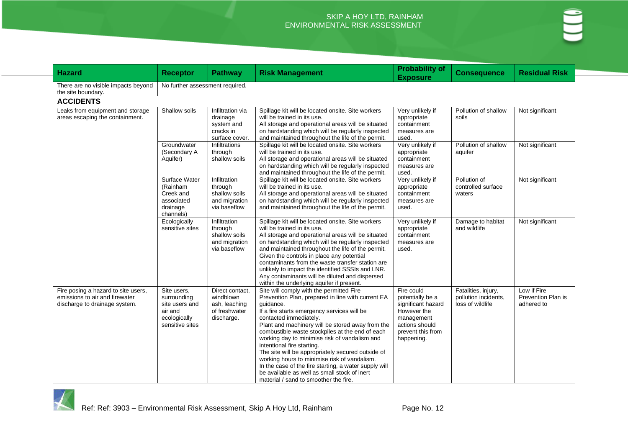| <b>Hazard</b>                                                                                          | <b>Receptor</b>                                                                            | <b>Pathway</b>                                                               | <b>Risk Management</b>                                                                                                                                                                                                                                                                                                                                                                                                                                                                                                                                                                                                           | <b>Probability of</b><br><b>Exposure</b>                                                                                               | <b>Consequence</b>                                              | <b>Residual Risk</b>                            |  |  |  |
|--------------------------------------------------------------------------------------------------------|--------------------------------------------------------------------------------------------|------------------------------------------------------------------------------|----------------------------------------------------------------------------------------------------------------------------------------------------------------------------------------------------------------------------------------------------------------------------------------------------------------------------------------------------------------------------------------------------------------------------------------------------------------------------------------------------------------------------------------------------------------------------------------------------------------------------------|----------------------------------------------------------------------------------------------------------------------------------------|-----------------------------------------------------------------|-------------------------------------------------|--|--|--|
| There are no visible impacts beyond<br>the site boundary.                                              | No further assessment required.                                                            |                                                                              |                                                                                                                                                                                                                                                                                                                                                                                                                                                                                                                                                                                                                                  |                                                                                                                                        |                                                                 |                                                 |  |  |  |
| <b>ACCIDENTS</b>                                                                                       |                                                                                            |                                                                              |                                                                                                                                                                                                                                                                                                                                                                                                                                                                                                                                                                                                                                  |                                                                                                                                        |                                                                 |                                                 |  |  |  |
| Leaks from equipment and storage<br>areas escaping the containment.                                    | Shallow soils                                                                              | Infiltration via<br>drainage<br>system and<br>cracks in<br>surface cover.    | Spillage kit will be located onsite. Site workers<br>will be trained in its use.<br>All storage and operational areas will be situated<br>on hardstanding which will be regularly inspected<br>and maintained throughout the life of the permit.                                                                                                                                                                                                                                                                                                                                                                                 | Very unlikely if<br>appropriate<br>containment<br>measures are<br>used.                                                                | Pollution of shallow<br>soils                                   | Not significant                                 |  |  |  |
|                                                                                                        | Groundwater<br>(Secondary A<br>Aquifer)                                                    | Infiltrations<br>through<br>shallow soils                                    | Spillage kit will be located onsite. Site workers<br>will be trained in its use.<br>All storage and operational areas will be situated<br>on hardstanding which will be regularly inspected<br>and maintained throughout the life of the permit.                                                                                                                                                                                                                                                                                                                                                                                 | Very unlikely if<br>appropriate<br>containment<br>measures are<br>used.                                                                | Pollution of shallow<br>aquifer                                 | Not significant                                 |  |  |  |
|                                                                                                        | Surface Water<br>(Rainham<br>Creek and<br>associated<br>drainage<br>channels)              | Infiltration<br>through<br>shallow soils<br>and migration<br>via baseflow    | Spillage kit will be located onsite. Site workers<br>will be trained in its use.<br>All storage and operational areas will be situated<br>on hardstanding which will be regularly inspected<br>and maintained throughout the life of the permit.                                                                                                                                                                                                                                                                                                                                                                                 | Very unlikely if<br>appropriate<br>containment<br>measures are<br>used.                                                                | Pollution of<br>controlled surface<br>waters                    | Not significant                                 |  |  |  |
|                                                                                                        | Ecologically<br>sensitive sites                                                            | Infiltration<br>through<br>shallow soils<br>and migration<br>via baseflow    | Spillage kit will be located onsite. Site workers<br>will be trained in its use.<br>All storage and operational areas will be situated<br>on hardstanding which will be regularly inspected<br>and maintained throughout the life of the permit.<br>Given the controls in place any potential<br>contaminants from the waste transfer station are<br>unlikely to impact the identified SSSIs and LNR.<br>Any contaminants will be diluted and dispersed<br>within the underlying aquifer if present.                                                                                                                             | Very unlikely if<br>appropriate<br>containment<br>measures are<br>used.                                                                | Damage to habitat<br>and wildlife                               | Not significant                                 |  |  |  |
| Fire posing a hazard to site users,<br>emissions to air and firewater<br>discharge to drainage system. | Site users,<br>surrounding<br>site users and<br>air and<br>ecologically<br>sensitive sites | Direct contact,<br>windblown<br>ash, leaching<br>of freshwater<br>discharge. | Site will comply with the permitted Fire<br>Prevention Plan, prepared in line with current EA<br>quidance.<br>If a fire starts emergency services will be<br>contacted immediately.<br>Plant and machinery will be stored away from the<br>combustible waste stockpiles at the end of each<br>working day to minimise risk of vandalism and<br>intentional fire starting.<br>The site will be appropriately secured outside of<br>working hours to minimise risk of vandalism.<br>In the case of the fire starting, a water supply will<br>be available as well as small stock of inert<br>material / sand to smoother the fire. | Fire could<br>potentially be a<br>significant hazard<br>However the<br>management<br>actions should<br>prevent this from<br>happening. | Fatalities, injury,<br>pollution incidents,<br>loss of wildlife | Low if Fire<br>Prevention Plan is<br>adhered to |  |  |  |

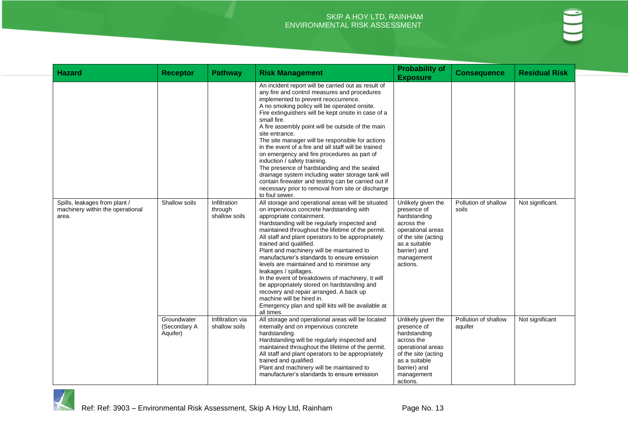| <b>Hazard</b>                                                              | <b>Receptor</b>                         | <b>Pathway</b>                                  | <b>Risk Management</b>                                                                                                                                                                                                                                                                                                                                                                                                                                                                                                                                                                                                                                                                                                                                                | <b>Probability of</b><br><b>Exposure</b>                                                                                                                               | <b>Consequence</b>              | <b>Residual Risk</b> |
|----------------------------------------------------------------------------|-----------------------------------------|-------------------------------------------------|-----------------------------------------------------------------------------------------------------------------------------------------------------------------------------------------------------------------------------------------------------------------------------------------------------------------------------------------------------------------------------------------------------------------------------------------------------------------------------------------------------------------------------------------------------------------------------------------------------------------------------------------------------------------------------------------------------------------------------------------------------------------------|------------------------------------------------------------------------------------------------------------------------------------------------------------------------|---------------------------------|----------------------|
|                                                                            |                                         |                                                 | An incident report will be carried out as result of<br>any fire and control measures and procedures<br>implemented to prevent reoccurrence.<br>A no smoking policy will be operated onsite.<br>Fire extinguishers will be kept onsite in case of a<br>small fire.<br>A fire assembly point will be outside of the main<br>site entrance.<br>The site manager will be responsible for actions<br>in the event of a fire and all staff will be trained<br>on emergency and fire procedures as part of<br>induction / safety training.<br>The presence of hardstanding and the sealed<br>drainage system including water storage tank will<br>contain firewater and testing can be carried out if<br>necessary prior to removal from site or discharge<br>to foul sewer. |                                                                                                                                                                        |                                 |                      |
| Spills, leakages from plant /<br>machinery within the operational<br>area. | Shallow soils                           | <b>Infiltration</b><br>through<br>shallow soils | All storage and operational areas will be situated<br>on impervious concrete hardstanding with<br>appropriate containment.<br>Hardstanding will be regularly inspected and<br>maintained throughout the lifetime of the permit.<br>All staff and plant operators to be appropriately<br>trained and qualified.<br>Plant and machinery will be maintained to<br>manufacturer's standards to ensure emission<br>levels are maintained and to minimise any<br>leakages / spillages.<br>In the event of breakdowns of machinery, it will<br>be appropriately stored on hardstanding and<br>recovery and repair arranged. A back up<br>machine will be hired in.<br>Emergency plan and spill kits will be available at<br>all times.                                       | Unlikely given the<br>presence of<br>hardstanding<br>across the<br>operational areas<br>of the site (acting<br>as a suitable<br>barrier) and<br>management<br>actions. | Pollution of shallow<br>soils   | Not significant.     |
|                                                                            | Groundwater<br>(Secondary A<br>Aquifer) | Infiltration via<br>shallow soils               | All storage and operational areas will be located<br>internally and on impervious concrete<br>hardstanding.<br>Hardstanding will be regularly inspected and<br>maintained throughout the lifetime of the permit.<br>All staff and plant operators to be appropriately<br>trained and qualified.<br>Plant and machinery will be maintained to<br>manufacturer's standards to ensure emission                                                                                                                                                                                                                                                                                                                                                                           | Unlikely given the<br>presence of<br>hardstanding<br>across the<br>operational areas<br>of the site (acting<br>as a suitable<br>barrier) and<br>management<br>actions. | Pollution of shallow<br>aquifer | Not significant      |

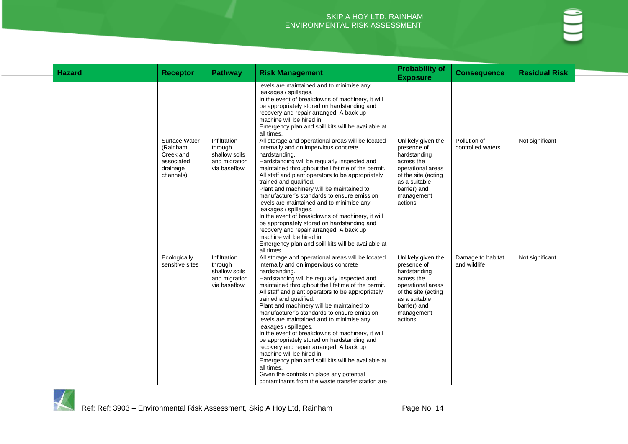| <b>Hazard</b> | <b>Receptor</b>                                                               | <b>Pathway</b>                                                            | <b>Risk Management</b>                                                                                                                                                                                                                                                                                                                                                                                                                                                                                                                                                                                                                                                                                                                                                                                            | <b>Probability of</b><br><b>Exposure</b>                                                                                                                               | <b>Consequence</b>                | <b>Residual Risk</b> |
|---------------|-------------------------------------------------------------------------------|---------------------------------------------------------------------------|-------------------------------------------------------------------------------------------------------------------------------------------------------------------------------------------------------------------------------------------------------------------------------------------------------------------------------------------------------------------------------------------------------------------------------------------------------------------------------------------------------------------------------------------------------------------------------------------------------------------------------------------------------------------------------------------------------------------------------------------------------------------------------------------------------------------|------------------------------------------------------------------------------------------------------------------------------------------------------------------------|-----------------------------------|----------------------|
|               |                                                                               |                                                                           | levels are maintained and to minimise any<br>leakages / spillages.<br>In the event of breakdowns of machinery, it will<br>be appropriately stored on hardstanding and<br>recovery and repair arranged. A back up<br>machine will be hired in.<br>Emergency plan and spill kits will be available at<br>all times.                                                                                                                                                                                                                                                                                                                                                                                                                                                                                                 |                                                                                                                                                                        |                                   |                      |
|               | Surface Water<br>(Rainham<br>Creek and<br>associated<br>drainage<br>channels) | Infiltration<br>through<br>shallow soils<br>and migration<br>via baseflow | All storage and operational areas will be located<br>internally and on impervious concrete<br>hardstanding.<br>Hardstanding will be regularly inspected and<br>maintained throughout the lifetime of the permit.<br>All staff and plant operators to be appropriately<br>trained and qualified.<br>Plant and machinery will be maintained to<br>manufacturer's standards to ensure emission<br>levels are maintained and to minimise any<br>leakages / spillages.<br>In the event of breakdowns of machinery, it will<br>be appropriately stored on hardstanding and<br>recovery and repair arranged. A back up<br>machine will be hired in.<br>Emergency plan and spill kits will be available at<br>all times.                                                                                                  | Unlikely given the<br>presence of<br>hardstanding<br>across the<br>operational areas<br>of the site (acting<br>as a suitable<br>barrier) and<br>management<br>actions. | Pollution of<br>controlled waters | Not significant      |
|               | Ecologically<br>sensitive sites                                               | Infiltration<br>through<br>shallow soils<br>and migration<br>via baseflow | All storage and operational areas will be located<br>internally and on impervious concrete<br>hardstanding.<br>Hardstanding will be regularly inspected and<br>maintained throughout the lifetime of the permit.<br>All staff and plant operators to be appropriately<br>trained and qualified.<br>Plant and machinery will be maintained to<br>manufacturer's standards to ensure emission<br>levels are maintained and to minimise any<br>leakages / spillages.<br>In the event of breakdowns of machinery, it will<br>be appropriately stored on hardstanding and<br>recovery and repair arranged. A back up<br>machine will be hired in.<br>Emergency plan and spill kits will be available at<br>all times.<br>Given the controls in place any potential<br>contaminants from the waste transfer station are | Unlikely given the<br>presence of<br>hardstanding<br>across the<br>operational areas<br>of the site (acting<br>as a suitable<br>barrier) and<br>management<br>actions. | Damage to habitat<br>and wildlife | Not significant      |

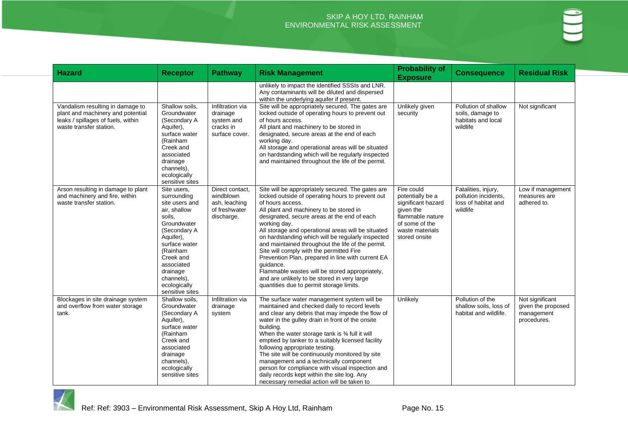| <b>Hazard</b>                                                                                                                          | <b>Receptor</b>                                                                                                                                                                                                                         | <b>Pathway</b>                                                               | <b>Risk Management</b>                                                                                                                                                                                                                                                                                                                                                                                                                                                                                                                                                                                                                                         | <b>Probability of</b><br><b>Exposure</b>                                                                                                    | <b>Consequence</b>                                                             | <b>Residual Risk</b>                                               |
|----------------------------------------------------------------------------------------------------------------------------------------|-----------------------------------------------------------------------------------------------------------------------------------------------------------------------------------------------------------------------------------------|------------------------------------------------------------------------------|----------------------------------------------------------------------------------------------------------------------------------------------------------------------------------------------------------------------------------------------------------------------------------------------------------------------------------------------------------------------------------------------------------------------------------------------------------------------------------------------------------------------------------------------------------------------------------------------------------------------------------------------------------------|---------------------------------------------------------------------------------------------------------------------------------------------|--------------------------------------------------------------------------------|--------------------------------------------------------------------|
|                                                                                                                                        |                                                                                                                                                                                                                                         |                                                                              | unlikely to impact the identified SSSIs and LNR.<br>Any contaminants will be diluted and dispersed<br>within the underlying aquifer if present.                                                                                                                                                                                                                                                                                                                                                                                                                                                                                                                |                                                                                                                                             |                                                                                |                                                                    |
| Vandalism resulting in damage to<br>plant and machinery and potential<br>leaks / spillages of fuels, within<br>waste transfer station. | Shallow soils,<br>Groundwater<br>(Secondary A<br>Aquifer),<br>surface water<br>(Rainham<br>Creek and<br>associated<br>drainage<br>channels),<br>ecologically<br>sensitive sites                                                         | Infiltration via<br>drainage<br>system and<br>cracks in<br>surface cover.    | Site will be appropriately secured. The gates are<br>locked outside of operating hours to prevent out<br>of hours access.<br>All plant and machinery to be stored in<br>designated, secure areas at the end of each<br>working day.<br>All storage and operational areas will be situated<br>on hardstanding which will be regularly inspected<br>and maintained throughout the life of the permit.                                                                                                                                                                                                                                                            | Unlikely given<br>security                                                                                                                  | Pollution of shallow<br>soils, damage to<br>habitats and local<br>wildlife     | Not significant                                                    |
| Arson resulting in damage to plant<br>and machinery and fire, within<br>waste transfer station.                                        | Site users,<br>surrounding<br>site users and<br>air, shallow<br>soils.<br>Groundwater<br>(Secondary A<br>Aquifer),<br>surface water<br>(Rainham<br>Creek and<br>associated<br>drainage<br>channels),<br>ecologically<br>sensitive sites | Direct contact,<br>windblown<br>ash, leaching<br>of freshwater<br>discharge. | Site will be appropriately secured. The gates are<br>locked outside of operating hours to prevent out<br>of hours access.<br>All plant and machinery to be stored in<br>designated, secure areas at the end of each<br>working day.<br>All storage and operational areas will be situated<br>on hardstanding which will be regularly inspected<br>and maintained throughout the life of the permit.<br>Site will comply with the permitted Fire<br>Prevention Plan, prepared in line with current EA<br>quidance.<br>Flammable wastes will be stored appropriately,<br>and are unlikely to be stored in very large<br>quantities due to permit storage limits. | Fire could<br>potentially be a<br>significant hazard<br>given the<br>flammable nature<br>of some of the<br>waste materials<br>stored onsite | Fatalities, injury,<br>pollution incidents,<br>loss of habitat and<br>wildlife | Low if management<br>measures are<br>adhered to.                   |
| Blockages in site drainage system<br>and overflow from water storage<br>tank.                                                          | Shallow soils.<br>Groundwater<br>(Secondary A<br>Aquifer),<br>surface water<br>(Rainham<br>Creek and<br>associated<br>drainage<br>channels),<br>ecologically<br>sensitive sites                                                         | Infiltration via<br>drainage<br>system                                       | The surface water management system will be<br>maintained and checked daily to record levels<br>and clear any debris that may impede the flow of<br>water in the gulley drain in front of the onsite<br>building.<br>When the water storage tank is 34 full it will<br>emptied by tanker to a suitably licensed facility<br>following appropriate testing.<br>The site will be continuously monitored by site<br>management and a technically component<br>person for compliance with visual inspection and<br>daily records kept within the site log. Any<br>necessary remedial action will be taken to                                                       | Unlikely                                                                                                                                    | Pollution of the<br>shallow soils. loss of<br>habitat and wildlife.            | Not significant<br>given the proposed<br>management<br>procedures. |

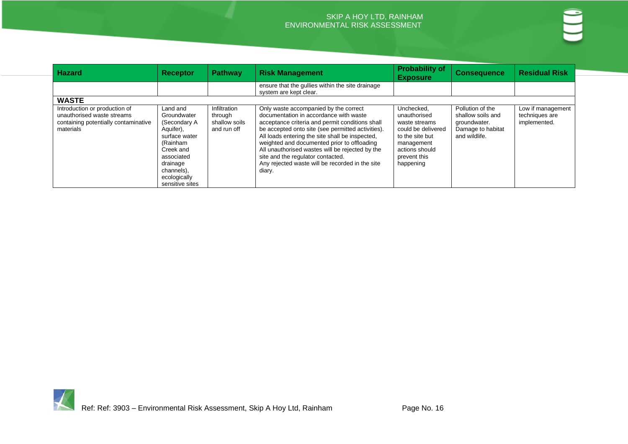| <b>Hazard</b>                                                                                                    | <b>Receptor</b>                                                                                                                                                           | <b>Pathway</b>                                          | <b>Risk Management</b>                                                                                                                                                                                                                                                                                                                                                                                                                         | <b>Probability of</b><br><b>Exposure</b>                                                                                                          | <b>Consequence</b>                                                                          | <b>Residual Risk</b>                                |
|------------------------------------------------------------------------------------------------------------------|---------------------------------------------------------------------------------------------------------------------------------------------------------------------------|---------------------------------------------------------|------------------------------------------------------------------------------------------------------------------------------------------------------------------------------------------------------------------------------------------------------------------------------------------------------------------------------------------------------------------------------------------------------------------------------------------------|---------------------------------------------------------------------------------------------------------------------------------------------------|---------------------------------------------------------------------------------------------|-----------------------------------------------------|
|                                                                                                                  |                                                                                                                                                                           |                                                         | ensure that the gullies within the site drainage<br>system are kept clear.                                                                                                                                                                                                                                                                                                                                                                     |                                                                                                                                                   |                                                                                             |                                                     |
| <b>WASTE</b>                                                                                                     |                                                                                                                                                                           |                                                         |                                                                                                                                                                                                                                                                                                                                                                                                                                                |                                                                                                                                                   |                                                                                             |                                                     |
| Introduction or production of<br>unauthorised waste streams<br>containing potentially contaminative<br>materials | Land and<br>Groundwater<br>(Secondary A<br>Aquifer),<br>surface water<br>(Rainham<br>Creek and<br>associated<br>drainage<br>channels),<br>ecologically<br>sensitive sites | Infiltration<br>through<br>shallow soils<br>and run off | Only waste accompanied by the correct<br>documentation in accordance with waste<br>acceptance criteria and permit conditions shall<br>be accepted onto site (see permitted activities).<br>All loads entering the site shall be inspected,<br>weighted and documented prior to offloading<br>All unauthorised wastes will be rejected by the<br>site and the regulator contacted.<br>Any rejected waste will be recorded in the site<br>diary. | Unchecked,<br>unauthorised<br>waste streams<br>could be delivered<br>to the site but<br>management<br>actions should<br>prevent this<br>happening | Pollution of the<br>shallow soils and<br>groundwater.<br>Damage to habitat<br>and wildlife. | Low if management<br>techniques are<br>implemented. |